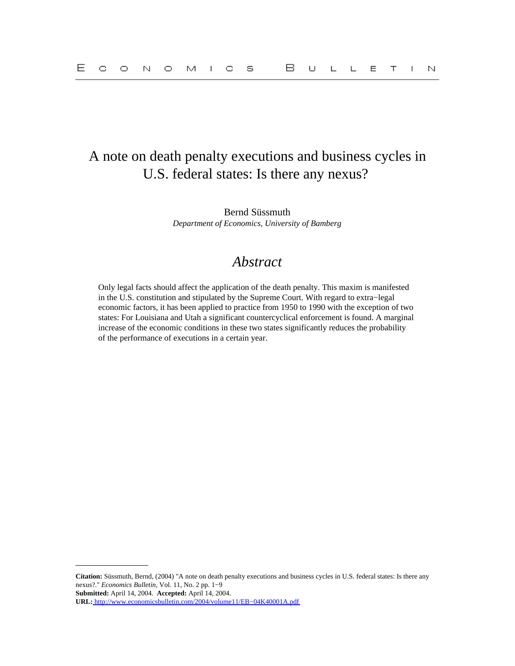# A note on death penalty executions and business cycles in U.S. federal states: Is there any nexus?

Bernd Süssmuth *Department of Economics, University of Bamberg*

## *Abstract*

Only legal facts should affect the application of the death penalty. This maxim is manifested in the U.S. constitution and stipulated by the Supreme Court. With regard to extra−legal economic factors, it has been applied to practice from 1950 to 1990 with the exception of two states: For Louisiana and Utah a significant countercyclical enforcement is found. A marginal increase of the economic conditions in these two states significantly reduces the probability of the performance of executions in a certain year.

**Citation:** Süssmuth, Bernd, (2004) "A note on death penalty executions and business cycles in U.S. federal states: Is there any nexus?." *Economics Bulletin,* Vol. 11, No. 2 pp. 1−9 **Submitted:** April 14, 2004. **Accepted:** April 14, 2004. **URL:** [http://www.economicsbulletin.com/2004/volume11/EB−04K40001A.pdf](http://www.economicsbulletin.com/2004/volume11/EB-04K40001A.pdf)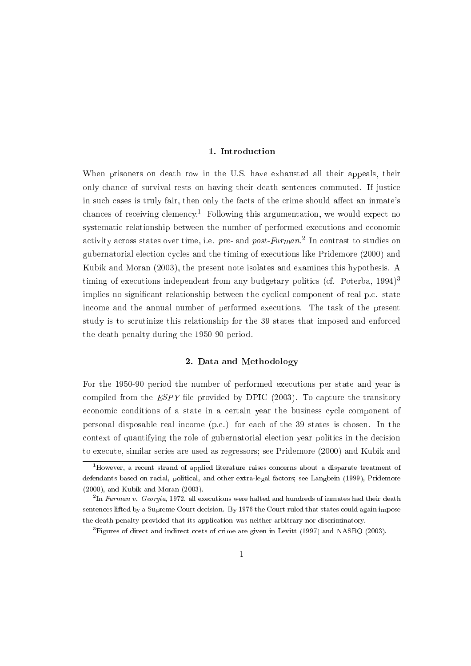## 1. Introduction

When prisoners on death row in the U.S. have exhausted all their appeals, their only chance of survival rests on having their death sentences commuted. If justice in such cases is truly fair, then only the facts of the crime should affect an inmate's chances of receiving clemency.<sup>1</sup> Following this argumentation, we would expect no systematic relationship between the number of performed executions and economic activity across states over time, i.e. pre- and post-Furman.<sup>2</sup> In contrast to studies on gubernatorial election cycles and the timing of executions like Pridemore (2000) and Kubik and Moran (2003), the present note isolates and examines this hypothesis. A timing of executions independent from any budgetary politics (cf. Poterba,  $1994$ )<sup>3</sup> implies no significant relationship between the cyclical component of real p.c. state income and the annual number of performed executions. The task of the present study is to scrutinize this relationship for the 39 states that imposed and enforced the death penalty during the 1950-90 period.

### 2. Data and Methodology

For the 1950-90 period the number of performed executions per state and year is compiled from the  $ESPY$  file provided by DPIC (2003). To capture the transitory economic conditions of a state in a certain year the business cycle component of personal disposable real income (p.c.) for each of the 39 states is chosen. In the context of quantifying the role of gubernatorial election year politics in the decision to execute, similar series are used as regressors; see Pridemore (2000) and Kubik and

 $1$ <sup>1</sup>However, a recent strand of applied literature raises concerns about a disparate treatment of defendants based on racial, political, and other extra-legal factors; see Langbein (1999), Pridemore  $(2000)$ , and Kubik and Moran  $(2003)$ .

 $^{2}$ In Furman v. Georgia, 1972, all executions were halted and hundreds of inmates had their death sentences lifted by a Supreme Court decision. By 1976 the Court ruled that states could again impose the death penalty provided that its application was neither arbitrary nor discriminatory.

 ${}^{3}$ Figures of direct and indirect costs of crime are given in Levitt (1997) and NASBO (2003).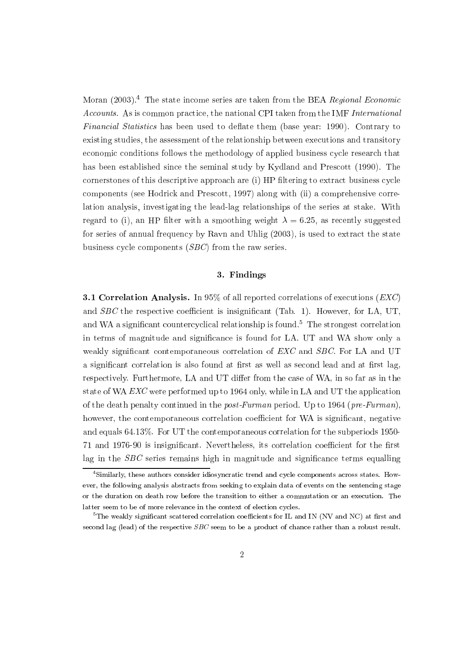Moran (2003).<sup>4</sup> The state income series are taken from the BEA Regional Economic Accounts. As is common practice, the national CPI taken from the IMF International *Financial Statistics* has been used to deflate them (base year: 1990). Contrary to existing studies, the assessment of the relationship between executions and transitory economic conditions follows the methodology of applied business cycle research that has been established since the seminal study by Kydland and Prescott (1990). The cornerstones of this descriptive approach are (i) HP filtering to extract business cycle components (see Hodrick and Prescott, 1997) along with (ii) a comprehensive correlation analysis, investigating the lead-lag relationships of the series at stake. With regard to (i), an HP filter with a smoothing weight  $\lambda = 6.25$ , as recently suggested for series of annual frequency by Ravn and Uhlig (2003), is used to extract the state business cycle components  $(SBC)$  from the raw series.

#### 3. Findings

**3.1 Correlation Analysis.** In 95% of all reported correlations of executions ( $EXC$ ) and *SBC* the respective coefficient is insignificant (Tab. 1). However, for LA, UT, and WA a significant countercyclical relationship is found.<sup>5</sup> The strongest correlation in terms of magnitude and significance is found for LA. UT and WA show only a weakly significant contemporaneous correlation of EXC and SBC. For LA and UT a significant correlation is also found at first as well as second lead and at first lag, respectively. Furthermore, LA and UT differ from the case of WA, in so far as in the state of WA EXC were performed up to 1964 only, while in LA and UT the application of the death penalty continued in the post-Furman period. Up to 1964 (pre-Furman), however, the contemporaneous correlation coefficient for WA is significant, negative and equals 64.13%. For UT the contemporaneous correlation for the subperiods 1950-71 and 1976-90 is insignificant. Nevertheless, its correlation coefficient for the first lag in the  $SBC$  series remains high in magnitude and significance terms equalling

<sup>&</sup>lt;sup>4</sup>Similarly, these authors consider idiosyncratic trend and cycle components across states. However, the following analysis abstracts from seeking to explain data of events on the sentencing stage or the duration on death row before the transition to either a commutation or an execution. The latter seem to be of more relevance in the context of election cycles.

 ${}^{5}$ The weakly significant scattered correlation coefficients for IL and IN (NV and NC) at first and second lag (lead) of the respective  $SBC$  seem to be a product of chance rather than a robust result.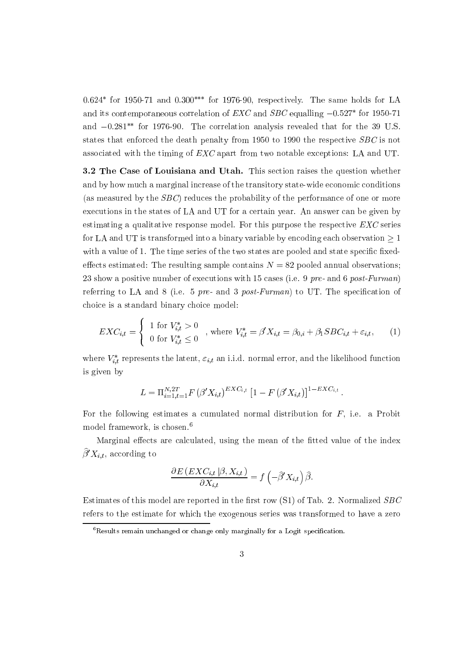$0.624*$  for 1950-71 and  $0.300**$  for 1976-90, respectively. The same holds for LA and its contemporaneous correlation of  $EXC$  and  $SBC$  equalling  $-0.527*$  for 1950-71 and  $-0.281^{**}$  for 1976-90. The correlation analysis revealed that for the 39 U.S. states that enforced the death penalty from 1950 to 1990 the respective SBC is not associated with the timing of  $EXC$  apart from two notable exceptions: LA and UT.

3.2 The Case of Louisiana and Utah. This section raises the question whether and by how much a marginal increase of the transitory state-wide economic conditions (as measured by the  $SBC$ ) reduces the probability of the performance of one or more executions in the states of LA and UT for a certain year. An answer can be given by estimating a qualitative response model. For this purpose the respective  $EXC$  series for LA and UT is transformed into a binary variable by encoding each observation  $>1$ with a value of 1. The time series of the two states are pooled and state specific fixedeffects estimated: The resulting sample contains  $N = 82$  pooled annual observations; 23 show a positive number of executions with 15 cases (i.e. 9 pre- and 6 post-Furman) referring to LA and 8 (i.e. 5  $pre$ - and 3  $post-Furman$ ) to UT. The specification of choice is a standard binary choice model:

$$
EXC_{i,t} = \begin{cases} 1 \text{ for } V_{i,t}^* > 0 \\ 0 \text{ for } V_{i,t}^* \le 0 \end{cases}
$$
, where  $V_{i,t}^* = \beta' X_{i,t} = \beta_{0,i} + \beta_1 SBC_{i,t} + \varepsilon_{i,t}$ , (1)

where  $V_{i,t}^*$  represents the latent,  $\varepsilon_{i,t}$  an i.i.d. normal error, and the likelihood function is given by

$$
L = \Pi_{i=1, t=1}^{N, 2T} F \left( \beta' X_{i,t} \right)^{EXC_{i,t}} \left[ 1 - F \left( \beta' X_{i,t} \right) \right]^{1 - EXC_{i,t}}
$$

For the following estimates a cumulated normal distribution for  $F$ , i.e. a Probit model framework, is chosen.<sup>6</sup>

Marginal effects are calculated, using the mean of the fitted value of the index  $\widehat{\beta}' X_{i,t}$ , according to

$$
\frac{\partial E\left(EXC_{i,t} | \beta, X_{i,t}\right)}{\partial X_{i,t}} = f\left(-\widehat{\beta}'X_{i,t}\right)\widehat{\beta}.
$$

Estimates of this model are reported in the first row  $(S1)$  of Tab. 2. Normalized SBC refers to the estimate for which the exogenous series was transformed to have a zero

 $^6$  Results remain unchanged or change only marginally for a Logit specification.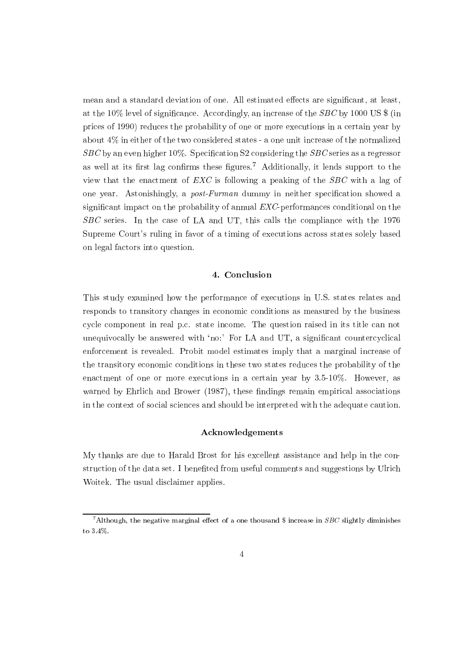mean and a standard deviation of one. All estimated effects are significant, at least, at the 10% level of significance. Accordingly, an increase of the  $SBC$  by 1000 US  $\frac{2}{3}$  (in prices of 1990) reduces the probability of one or more executions in a certain year by about  $4\%$  in either of the two considered states - a one unit increase of the normalized  $SBC$  by an even higher 10%. Specification S2 considering the  $SBC$  series as a regressor as well at its first lag confirms these figures.<sup>7</sup> Additionally, it lends support to the view that the enactment of  $EXC$  is following a peaking of the  $SBC$  with a lag of one year. Astonishingly, a *post-Furman* dummy in neither specification showed a significant impact on the probability of annual EXC-performances conditional on the  $SBC$  series. In the case of LA and UT, this calls the compliance with the 1976 Supreme Court's ruling in favor of a timing of executions across states solely based on legal factors into question.

#### 4. Conclusion

This study examined how the performance of executions in U.S. states relates and responds to transitory changes in economic conditions as measured by the business cycle component in real p.c. state income. The question raised in its title can not unequivocally be answered with 'no:' For LA and UT, a significant countercyclical enforcement is revealed. Probit model estimates imply that a marginal increase of the transitory economic conditions in these two states reduces the probability of the enactment of one or more executions in a certain year by  $3.5{\cdot}10\%$ . However, as warned by Ehrlich and Brower (1987), these findings remain empirical associations in the context of social sciences and should be interpreted with the adequate caution.

### Acknowledgements

My thanks are due to Harald Brost for his excellent assistance and help in the construction of the data set. I benefited from useful comments and suggestions by Ulrich Woitek. The usual disclaimer applies.

<sup>&</sup>lt;sup>7</sup>Although, the negative marginal effect of a one thousand \$ increase in SBC slightly diminishes to  $3.4\%$ .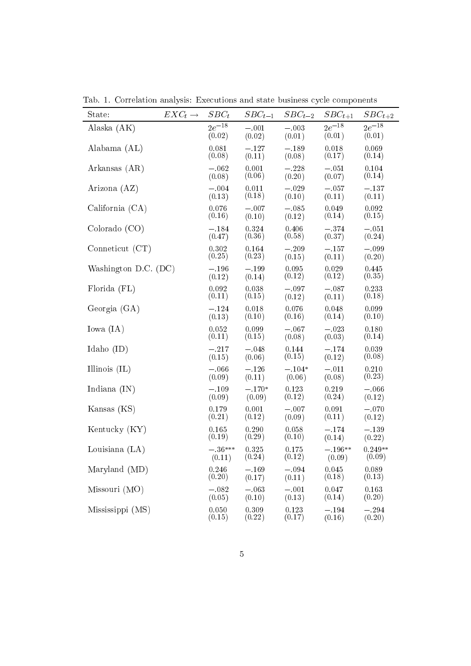| State:                 | $EXC_t \rightarrow$ | $SBC_t$              | $SBC_{t-1}$        | $SBC_{t-2}$        | $SBC_{t+1}$          | $SBC_{t+2}$          |
|------------------------|---------------------|----------------------|--------------------|--------------------|----------------------|----------------------|
| Alaska (AK)            |                     | $2e^{-18}$<br>(0.02) | $-.001$<br>(0.02)  | $-.003$<br>(0.01)  | $2e^{-18}$<br>(0.01) | $2e^{-18}$<br>(0.01) |
| Alabama (AL)           |                     | 0.081<br>(0.08)      | $-.127$<br>(0.11)  | $-.189$<br>(0.08)  | 0.018<br>(0.17)      | 0.069<br>(0.14)      |
| Arkansas (AR)          |                     | $-.062$<br>(0.08)    | 0.001<br>(0.06)    | $-.228$<br>(0.20)  | $-.051$<br>(0.07)    | 0.104<br>(0.14)      |
| Arizona (AZ)           |                     | $-.004$<br>(0.13)    | 0.011<br>(0.18)    | $-.029$<br>(0.10)  | $-.057$<br>(0.11)    | $-.137$<br>(0.11)    |
| California (CA)        |                     | 0.076<br>(0.16)      | $-.007$<br>(0.10)  | $-.085$<br>(0.12)  | 0.049<br>(0.14)      | 0.092<br>(0.15)      |
| Colorado (CO)          |                     | $-.184$<br>(0.47)    | 0.324<br>(0.36)    | 0.406<br>(0.58)    | $-.374$<br>(0.37)    | $-.051$<br>(0.24)    |
| Conneticut (CT)        |                     | 0.302<br>(0.25)      | 0.164<br>(0.23)    | $-.209$<br>(0.15)  | $-.157$<br>(0.11)    | $-.099$<br>(0.20)    |
| Washington D.C. $(DC)$ |                     | $-.196$<br>(0.12)    | $-.199$<br>(0.14)  | 0.095<br>(0.12)    | 0.029<br>(0.12)      | 0.445<br>(0.35)      |
| Florida (FL)           |                     | 0.092<br>(0.11)      | 0.038<br>(0.15)    | $-.097$<br>(0.12)  | $-.087$<br>(0.11)    | 0.233<br>(0.18)      |
| Georgia $(GA)$         |                     | $-.124$<br>(0.13)    | 0.018<br>(0.10)    | 0.076<br>(0.16)    | 0.048<br>(0.14)      | 0.099<br>(0.10)      |
| Iowa (IA)              |                     | 0.052<br>(0.11)      | 0.099<br>(0.15)    | $-.067$<br>(0.08)  | $-.023$<br>(0.03)    | 0.180<br>(0.14)      |
| Idaho $(ID)$           |                     | $-.217$<br>(0.15)    | $-.048$<br>(0.06)  | 0.144<br>(0.15)    | $-.174$<br>(0.12)    | 0.039<br>(0.08)      |
| Illinois $(IL)$        |                     | $-.066$<br>(0.09)    | $-.126$<br>(0.11)  | $-.104*$<br>(0.06) | $-.011$<br>(0.08)    | 0.210<br>(0.23)      |
| Indiana $(IN)$         |                     | $-.109$<br>(0.09)    | $-.170*$<br>(0.09) | 0.123<br>(0.12)    | 0.219<br>(0.24)      | $-.066$<br>(0.12)    |
| Kansas (KS)            |                     | 0.179<br>(0.21)      | 0.001<br>(0.12)    | $-.007$<br>(0.09)  | 0.091<br>(0.11)      | $-.070$<br>(0.12)    |
| Kentucky (KY)          |                     | 0.165<br>(0.19)      | 0.290<br>(0.29)    | 0.058<br>(0.10)    | $-.174$<br>(0.14)    | $-.139$<br>(0.22)    |
| Louisiana $(LA)$       |                     | $-.36***$<br>(0.11)  | 0.325<br>(0.24)    | 0.175<br>(0.12)    | $-.196**$<br>(0.09)  | $0.249**$<br>(0.09)  |
| Maryland (MD)          |                     | 0.246<br>(0.20)      | $-.169$<br>(0.17)  | $-.094$<br>(0.11)  | 0.045<br>(0.18)      | 0.089<br>(0.13)      |
| Missouri(MO)           |                     | $-.082$<br>(0.05)    | $-.063$<br>(0.10)  | $-.001$<br>(0.13)  | 0.047<br>(0.14)      | 0.163<br>(0.20)      |
| Mississippi (MS)       |                     | 0.050<br>(0.15)      | 0.309<br>(0.22)    | 0.123<br>(0.17)    | $-.194$<br>(0.16)    | $-.294$<br>(0.20)    |

Tab. 1. Correlation analysis: Executions and state business cycle components  $\overline{\phantom{A}}$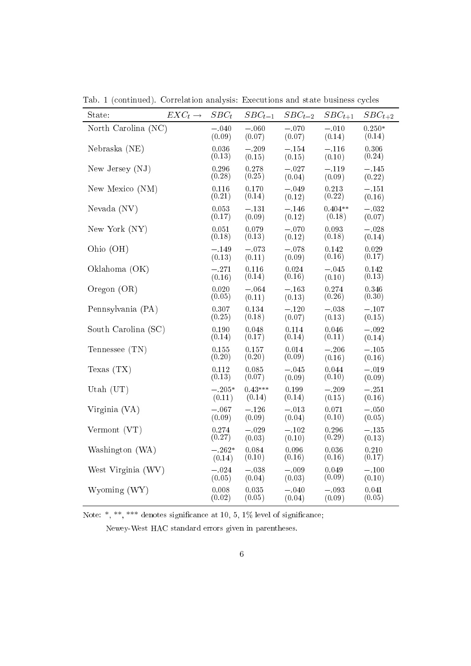| State:              | $EXC_t \rightarrow$ | $SBC_t$            | $SBC_{t-1}$         | $SBC_{t-2}$       | $SBC_{t+1}$         | $SBC_{t+2}$        |
|---------------------|---------------------|--------------------|---------------------|-------------------|---------------------|--------------------|
| North Carolina (NC) |                     | $-.040$<br>(0.09)  | $-.060$<br>(0.07)   | $-.070$<br>(0.07) | $-.010$<br>(0.14)   | $0.250*$<br>(0.14) |
| Nebraska (NE)       |                     | 0.036<br>(0.13)    | $-.209$<br>(0.15)   | $-.154$<br>(0.15) | $-.116$<br>(0.10)   | 0.306<br>(0.24)    |
| New Jersey (NJ)     |                     | 0.296<br>(0.28)    | 0.278<br>(0.25)     | $-.027$<br>(0.04) | $-.119$<br>(0.09)   | $-.145$<br>(0.22)  |
| New Mexico (NM)     |                     | 0.116<br>(0.21)    | 0.170<br>(0.14)     | $-.049$<br>(0.12) | 0.213<br>(0.22)     | $-.151$<br>(0.16)  |
| Nevada (NV)         |                     | 0.053<br>(0.17)    | $-.131$<br>(0.09)   | $-.146$<br>(0.12) | $0.404**$<br>(0.18) | $-.032$<br>(0.07)  |
| New York (NY)       |                     | 0.051<br>(0.18)    | 0.079<br>(0.13)     | $-.070$<br>(0.12) | 0.093<br>(0.18)     | $-.028$<br>(0.14)  |
| Ohio (OH)           |                     | $-.149$<br>(0.13)  | $-.073$<br>(0.11)   | $-.078$<br>(0.09) | 0.142<br>(0.16)     | 0.029<br>(0.17)    |
| Oklahoma (OK)       |                     | $-.271$<br>(0.16)  | 0.116<br>(0.14)     | 0.024<br>(0.16)   | $-.045$<br>(0.10)   | 0.142<br>(0.13)    |
| Oregon $(OR)$       |                     | 0.020<br>(0.05)    | $-.064$<br>(0.11)   | $-.163$<br>(0.13) | 0.274<br>(0.26)     | 0.346<br>(0.30)    |
| Pennsylvania (PA)   |                     | 0.307<br>(0.25)    | 0.134<br>(0.18)     | $-.120$<br>(0.07) | $-.038$<br>(0.13)   | $-.107$<br>(0.15)  |
| South Carolina (SC) |                     | 0.190<br>(0.14)    | 0.048<br>(0.17)     | 0.114<br>(0.14)   | 0.046<br>(0.11)     | $-.092$<br>(0.14)  |
| Tennessee (TN)      |                     | 0.155<br>(0.20)    | 0.157<br>(0.20)     | 0.014<br>(0.09)   | $-.206$<br>(0.16)   | $-.105$<br>(0.16)  |
| Texas $(TX)$        |                     | 0.112<br>(0.13)    | 0.085<br>(0.07)     | $-.045$<br>(0.09) | 0.044<br>(0.10)     | $-.019$<br>(0.09)  |
| Utah $(UT)$         |                     | $-.205*$<br>(0.11) | $0.43***$<br>(0.14) | 0.199<br>(0.14)   | $-.209$<br>(0.15)   | $-.251$<br>(0.16)  |
| Virginia (VA)       |                     | $-.067$<br>(0.09)  | $-.126$<br>(0.09)   | $-.013$<br>(0.04) | 0.071<br>(0.10)     | $-.050$<br>(0.05)  |
| Vermont (VT)        |                     | 0.274<br>(0.27)    | $-.029$<br>(0.03)   | $-.102$<br>(0.10) | 0.296<br>(0.29)     | $-.135$<br>(0.13)  |
| Washington (WA)     |                     | $-.262*$<br>(0.14) | 0.084<br>(0.10)     | 0.096<br>(0.16)   | 0.036<br>(0.16)     | 0.210<br>(0.17)    |
| West Virginia (WV)  |                     | $-.024$<br>(0.05)  | $-.038$<br>(0.04)   | $-.009$<br>(0.03) | 0.049<br>(0.09)     | $-.100$<br>(0.10)  |
| Wyoming (WY)        |                     | 0.008<br>(0.02)    | 0.035<br>(0.05)     | $-.040$<br>(0.04) | $-.093$<br>(0.09)   | 0.041<br>(0.05)    |

Tab. 1 (continued). Correlation analysis: Executions and state business cycles

Note: \*, \*\*, \*\*\* denotes significance at 10, 5,  $1\%$  level of significance;

Newey-West HAC standard errors given in parentheses.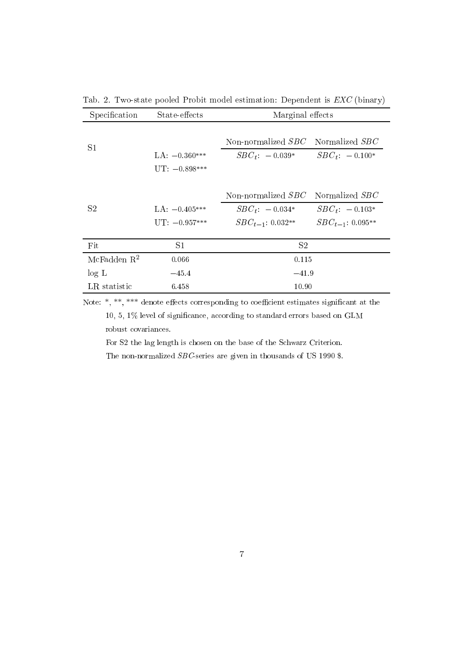| Specification  | State-effects                      | Marginal effects                                                    |                                                               |  |  |
|----------------|------------------------------------|---------------------------------------------------------------------|---------------------------------------------------------------|--|--|
| S <sub>1</sub> | $LA: -0.360***$<br>$UT: -0.898***$ | Non-normalized SBC<br>$SBC_t$ : $-0.039*$                           | Normalized SBC<br>$SBC_t$ : $-0.100*$                         |  |  |
| S2             | $LA: -0.405***$<br>$UT: -0.957***$ | Non-normalized $SBC$<br>$SBC_t$ : $-0.034*$<br>$SBC_{t-1}: 0.032**$ | Normalized SBC<br>$SBC_t$ : $-0.103*$<br>$SBC_{t-1}: 0.095**$ |  |  |
| Fit            | S1                                 | S <sub>2</sub>                                                      |                                                               |  |  |
| McFadden $R^2$ | 0.066                              | 0.115                                                               |                                                               |  |  |
| log L          | $-45.4$                            | $-41.9$                                                             |                                                               |  |  |
| LR statistic   | 6.458                              | 10.90                                                               |                                                               |  |  |

Tab. 2. Two-state pooled Probit model estimation: Dependent is  $EXC$  (binary)

Note:  $*, **$ , \*\*\* denote effects corresponding to coefficient estimates significant at the

 $10,\,5,\,1\%$  level of significance, according to standard errors based on GLM robust covariances.

For S2 the lag length is chosen on the base of the Schwarz Criterion.

The non-normalized  $SBC$ -series are given in thousands of US 1990 \$.